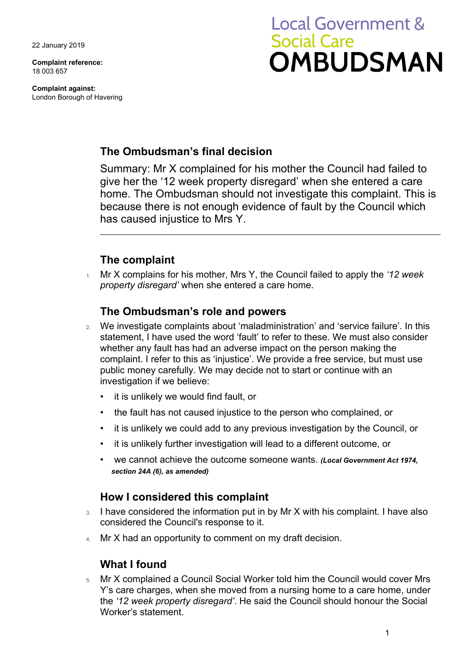22 January 2019

**Complaint reference:**  18 003 657

**Complaint against:**  London Borough of Havering

# **Local Government & Social Care OMBUDSMAN**

# **The Ombudsman's final decision**

Summary: Mr X complained for his mother the Council had failed to give her the '12 week property disregard' when she entered a care home. The Ombudsman should not investigate this complaint. This is because there is not enough evidence of fault by the Council which has caused injustice to Mrs Y.

# **The complaint**

1. Mr X complains for his mother, Mrs Y, the Council failed to apply the *'12 week property disregard'* when she entered a care home.

## **The Ombudsman's role and powers**

- 2. We investigate complaints about 'maladministration' and 'service failure'. In this statement, I have used the word 'fault' to refer to these. We must also consider whether any fault has had an adverse impact on the person making the complaint. I refer to this as 'injustice'. We provide a free service, but must use public money carefully. We may decide not to start or continue with an investigation if we believe:
	- it is unlikely we would find fault, or
	- the fault has not caused injustice to the person who complained, or
	- it is unlikely we could add to any previous investigation by the Council, or
	- it is unlikely further investigation will lead to a different outcome, or
	- we cannot achieve the outcome someone wants. *(Local Government Act 1974, section 24A (6), as amended)*

## **How I considered this complaint**

- 3. I have considered the information put in by Mr X with his complaint. I have also considered the Council's response to it.
- 4. Mr X had an opportunity to comment on my draft decision.

# **What I found**

 5. Mr X complained a Council Social Worker told him the Council would cover Mrs Y's care charges, when she moved from a nursing home to a care home, under the *'12 week property disregard'*. He said the Council should honour the Social Worker's statement.